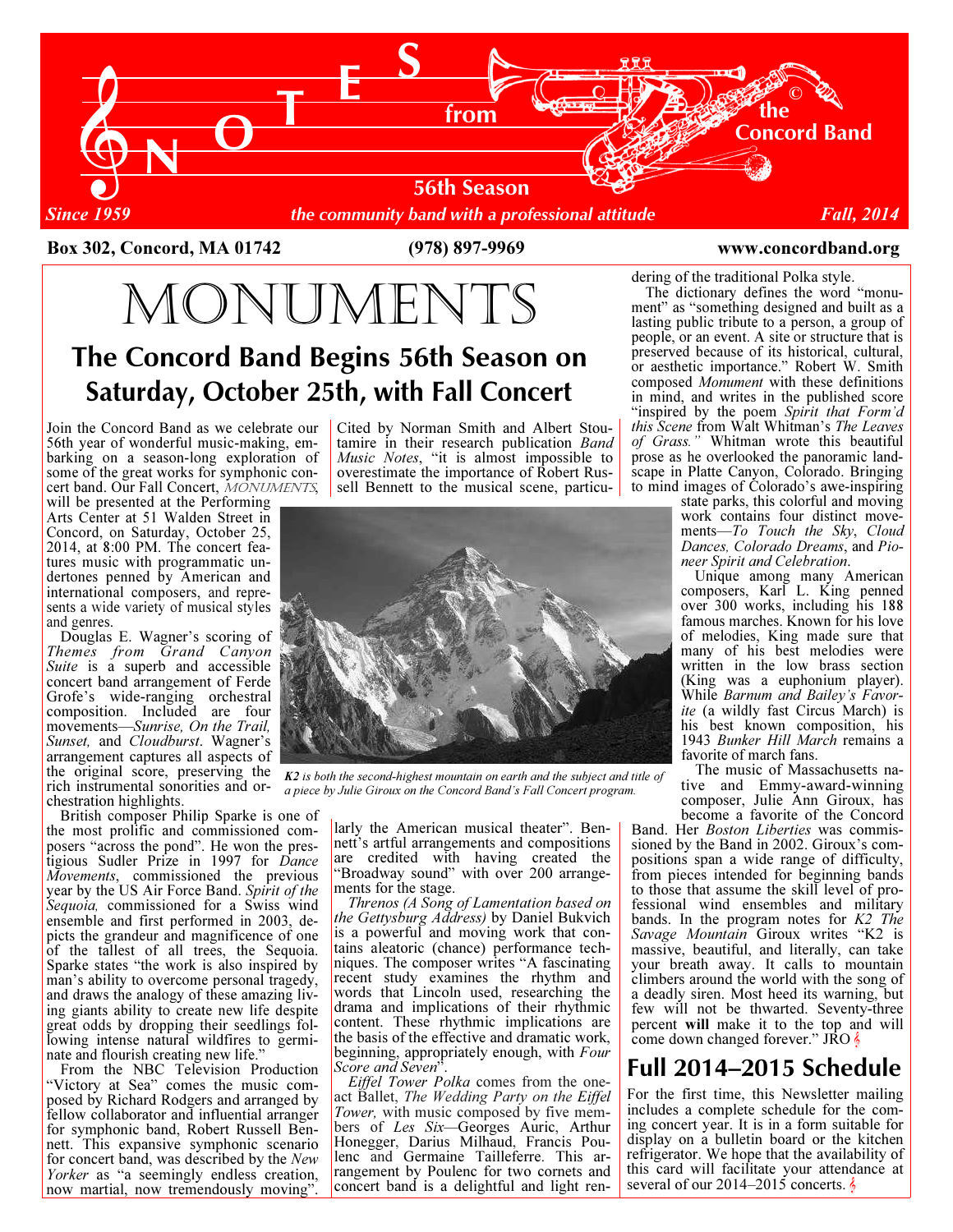

Box 302, Concord, MA 01742 (978) 897-9969 www.concordband.org

MONUMENTS

# The Concord Band Begins 56th Season on Saturday, October 25th, with Fall Concert

Join the Concord Band as we celebrate our 56th year of wonderful music-making, embarking on a season-long exploration of some of the great works for symphonic concert band. Our Fall Concert, MONUMENTS,

will be presented at the Performing Arts Center at 51 Walden Street in Concord, on Saturday, October 25, 2014, at 8:00 PM. The concert features music with programmatic undertones penned by American and international composers, and represents a wide variety of musical styles and genres.

 Douglas E. Wagner's scoring of Themes from Grand Canyon Suite is a superb and accessible concert band arrangement of Ferde Grofe's wide-ranging orchestral composition. Included are four movements—Sunrise, On the Trail, Sunset, and Cloudburst. Wagner's arrangement captures all aspects of the original score, preserving the rich instrumental sonorities and orchestration highlights.

 British composer Philip Sparke is one of the most prolific and commissioned composers "across the pond". He won the prestigious Sudler Prize in 1997 for Dance Movements, commissioned the previous year by the US Air Force Band. Spirit of the Sequoia, commissioned for a Swiss wind ensemble and first performed in 2003, depicts the grandeur and magnificence of one of the tallest of all trees, the Sequoia. Sparke states "the work is also inspired by man's ability to overcome personal tragedy, and draws the analogy of these amazing living giants ability to create new life despite great odds by dropping their seedlings following intense natural wildfires to germinate and flourish creating new life."

 From the NBC Television Production "Victory at Sea" comes the music composed by Richard Rodgers and arranged by fellow collaborator and influential arranger for symphonic band, Robert Russell Bennett. This expansive symphonic scenario for concert band, was described by the New Yorker as "a seemingly endless creation, now martial, now tremendously moving".

Cited by Norman Smith and Albert Stoutamire in their research publication Band Music Notes, "it is almost impossible to overestimate the importance of Robert Russell Bennett to the musical scene, particu-



K2 is both the second-highest mountain on earth and the subject and title of a piece by Julie Giroux on the Concord Band's Fall Concert program.

larly the American musical theater". Bennett's artful arrangements and compositions are credited with having created the "Broadway sound" with over 200 arrangements for the stage.

 Threnos (A Song of Lamentation based on the Gettysburg Address) by Daniel Bukvich is a powerful and moving work that contains aleatoric (chance) performance techniques. The composer writes "A fascinating recent study examines the rhythm and words that Lincoln used, researching the drama and implications of their rhythmic content. These rhythmic implications are the basis of the effective and dramatic work, beginning, appropriately enough, with Four Score and Seven".

 Eiffel Tower Polka comes from the oneact Ballet, The Wedding Party on the Eiffel Tower, with music composed by five members of Les Six—Georges Auric, Arthur Honegger, Darius Milhaud, Francis Poulenc and Germaine Tailleferre. This arrangement by Poulenc for two cornets and concert band is a delightful and light rendering of the traditional Polka style.

 The dictionary defines the word "monument" as "something designed and built as a lasting public tribute to a person, a group of people, or an event. A site or structure that is preserved because of its historical, cultural, or aesthetic importance." Robert W. Smith composed Monument with these definitions in mind, and writes in the published score "inspired by the poem Spirit that Form'd this Scene from Walt Whitman's The Leaves of Grass." Whitman wrote this beautiful prose as he overlooked the panoramic landscape in Platte Canyon, Colorado. Bringing to mind images of Colorado's awe-inspiring

state parks, this colorful and moving work contains four distinct movements—To Touch the Sky, Cloud Dances, Colorado Dreams, and Pioneer Spirit and Celebration.

 Unique among many American composers, Karl L. King penned over 300 works, including his 188 famous marches. Known for his love of melodies, King made sure that many of his best melodies were written in the low brass section (King was a euphonium player). While Barnum and Bailey's Favorite (a wildly fast Circus March) is his best known composition, his 1943 Bunker Hill March remains a favorite of march fans.

 The music of Massachusetts native and Emmy-award-winning composer, Julie Ann Giroux, has become a favorite of the Concord

Band. Her Boston Liberties was commissioned by the Band in 2002. Giroux's compositions span a wide range of difficulty, from pieces intended for beginning bands to those that assume the skill level of professional wind ensembles and military bands. In the program notes for  $K2$  The Savage Mountain Giroux writes "K2 is massive, beautiful, and literally, can take your breath away. It calls to mountain climbers around the world with the song of a deadly siren. Most heed its warning, but few will not be thwarted. Seventy-three percent will make it to the top and will come down changed forever." JRO  $\frac{1}{2}$ 

## Full 2014–2015 Schedule

For the first time, this Newsletter mailing includes a complete schedule for the coming concert year. It is in a form suitable for display on a bulletin board or the kitchen refrigerator. We hope that the availability of this card will facilitate your attendance at several of our  $2014-2015$  concerts.